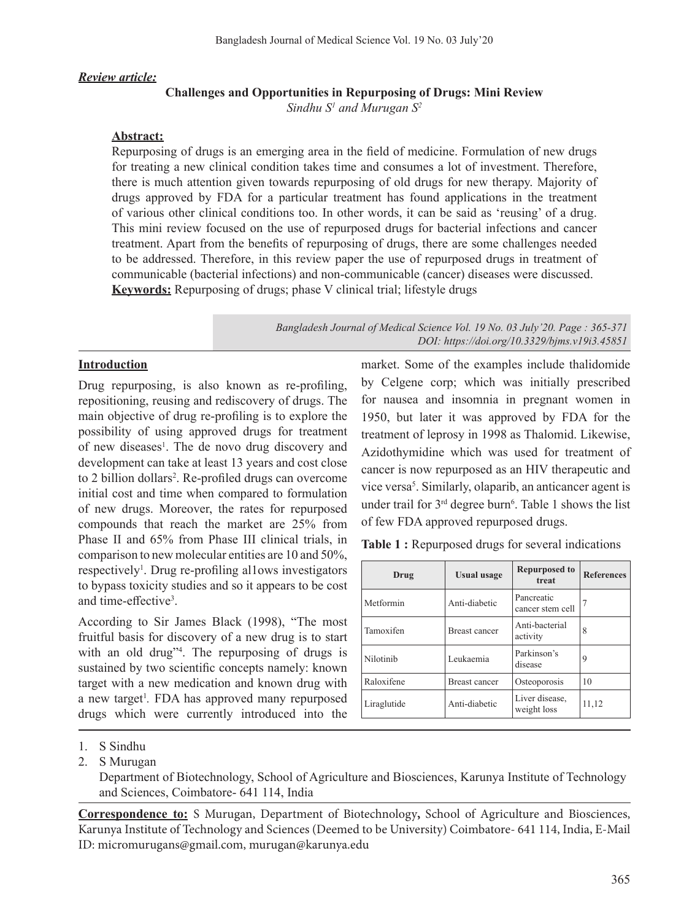#### *Review article:*

### **Challenges and Opportunities in Repurposing of Drugs: Mini Review**

*Sindhu S1 and Murugan S2*

## **Abstract:**

Repurposing of drugs is an emerging area in the field of medicine. Formulation of new drugs for treating a new clinical condition takes time and consumes a lot of investment. Therefore, there is much attention given towards repurposing of old drugs for new therapy. Majority of drugs approved by FDA for a particular treatment has found applications in the treatment of various other clinical conditions too. In other words, it can be said as 'reusing' of a drug. This mini review focused on the use of repurposed drugs for bacterial infections and cancer treatment. Apart from the benefits of repurposing of drugs, there are some challenges needed to be addressed. Therefore, in this review paper the use of repurposed drugs in treatment of communicable (bacterial infections) and non-communicable (cancer) diseases were discussed. **Keywords:** Repurposing of drugs; phase V clinical trial; lifestyle drugs

> *Bangladesh Journal of Medical Science Vol. 19 No. 03 July'20. Page : 365-371 DOI: https://doi.org/10.3329/bjms.v19i3.45851*

## **Introduction**

Drug repurposing, is also known as re-profiling, repositioning, reusing and rediscovery of drugs. The main objective of drug re-profiling is to explore the possibility of using approved drugs for treatment of new diseases<sup>1</sup>. The de novo drug discovery and development can take at least 13 years and cost close to 2 billion dollars<sup>2</sup>. Re-profiled drugs can overcome initial cost and time when compared to formulation of new drugs. Moreover, the rates for repurposed compounds that reach the market are 25% from Phase II and 65% from Phase III clinical trials, in comparison to new molecular entities are 10 and 50%, respectively<sup>1</sup>. Drug re-profiling allows investigators to bypass toxicity studies and so it appears to be cost and time-effective<sup>3</sup>.

According to Sir James Black (1998), "The most fruitful basis for discovery of a new drug is to start with an old drug"<sup>4</sup> . The repurposing of drugs is sustained by two scientific concepts namely: known target with a new medication and known drug with a new target<sup>1</sup>. FDA has approved many repurposed drugs which were currently introduced into the

market. Some of the examples include thalidomide by Celgene corp; which was initially prescribed for nausea and insomnia in pregnant women in 1950, but later it was approved by FDA for the treatment of leprosy in 1998 as Thalomid. Likewise, Azidothymidine which was used for treatment of cancer is now repurposed as an HIV therapeutic and vice versa<sup>5</sup>. Similarly, olaparib, an anticancer agent is under trail for  $3<sup>rd</sup>$  degree burn<sup>6</sup>. Table 1 shows the list of few FDA approved repurposed drugs.

**Table 1 :** Repurposed drugs for several indications

| Drug        | <b>Usual</b> usage   | <b>Repurposed to</b><br>treat  | <b>References</b> |
|-------------|----------------------|--------------------------------|-------------------|
| Metformin   | Anti-diabetic        | Pancreatic<br>cancer stem cell |                   |
| Tamoxifen   | <b>Breast cancer</b> | Anti-bacterial<br>activity     | 8                 |
| Nilotinib   | Leukaemia            | Parkinson's<br>disease         | 9                 |
| Raloxifene  | <b>Breast cancer</b> | Osteoporosis                   | 10                |
| Liraglutide | Anti-diabetic        | Liver disease,<br>weight loss  | 11,12             |

Department of Biotechnology, School of Agriculture and Biosciences, Karunya Institute of Technology and Sciences, Coimbatore- 641 114, India

**Correspondence to:** S Murugan, Department of Biotechnology**,** School of Agriculture and Biosciences, Karunya Institute of Technology and Sciences (Deemed to be University) Coimbatore- 641 114, India, E-Mail ID: micromurugans@gmail.com, murugan@karunya.edu

<sup>1.</sup> S Sindhu

<sup>2.</sup> S Murugan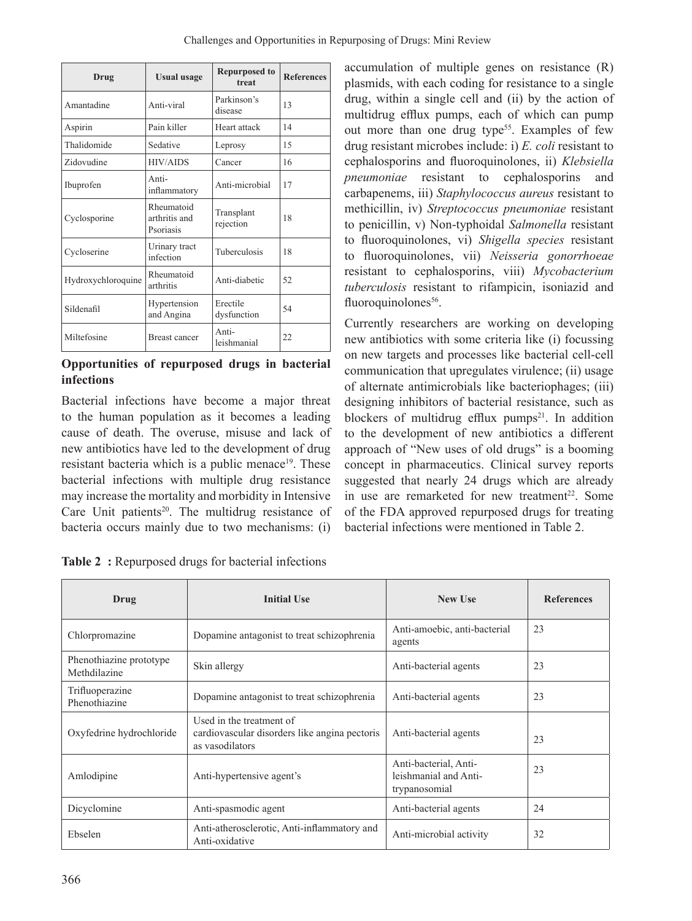| Drug               | <b>Usual usage</b>                       | <b>Repurposed to</b><br>treat | <b>References</b> |
|--------------------|------------------------------------------|-------------------------------|-------------------|
| Amantadine         | Anti-viral                               | Parkinson's<br>disease        | 13                |
| Aspirin            | Pain killer                              | Heart attack                  | 14                |
| Thalidomide        | Sedative                                 | Leprosy                       | 15                |
| Zidovudine         | <b>HIV/AIDS</b>                          | Cancer                        | 16                |
| Ibuprofen          | Anti-<br>inflammatory                    | Anti-microbial                | 17                |
| Cyclosporine       | Rheumatoid<br>arthritis and<br>Psoriasis | Transplant<br>rejection       | 18                |
| Cycloserine        | Urinary tract<br>infection               | Tuberculosis                  | 18                |
| Hydroxychloroquine | Rheumatoid<br>arthritis                  | Anti-diabetic                 | 52                |
| Sildenafil         | Hypertension<br>and Angina               | Erectile<br>dysfunction       | 54                |
| Miltefosine        | <b>Breast cancer</b>                     | Anti-<br>leishmanial          | 22                |

**Opportunities of repurposed drugs in bacterial infections**

Bacterial infections have become a major threat to the human population as it becomes a leading cause of death. The overuse, misuse and lack of new antibiotics have led to the development of drug resistant bacteria which is a public menace<sup>19</sup>. These bacterial infections with multiple drug resistance may increase the mortality and morbidity in Intensive Care Unit patients<sup>20</sup>. The multidrug resistance of bacteria occurs mainly due to two mechanisms: (i) accumulation of multiple genes on resistance (R) plasmids, with each coding for resistance to a single drug, within a single cell and (ii) by the action of multidrug efflux pumps, each of which can pump out more than one drug type<sup>55</sup>. Examples of few drug resistant microbes include: i) *E. coli* resistant to cephalosporins and fluoroquinolones, ii) *Klebsiella pneumoniae* resistant to cephalosporins and carbapenems, iii) *Staphylococcus aureus* resistant to methicillin, iv) *Streptococcus pneumoniae* resistant to penicillin, v) Non-typhoidal *Salmonella* resistant to fluoroquinolones, vi) *Shigella species* resistant to fluoroquinolones, vii) *Neisseria gonorrhoeae* resistant to cephalosporins, viii) *Mycobacterium tuberculosis* resistant to rifampicin, isoniazid and fluoroquinolones<sup>56</sup>.

Currently researchers are working on developing new antibiotics with some criteria like (i) focussing on new targets and processes like bacterial cell-cell communication that upregulates virulence; (ii) usage of alternate antimicrobials like bacteriophages; (iii) designing inhibitors of bacterial resistance, such as blockers of multidrug efflux pumps $21$ . In addition to the development of new antibiotics a different approach of "New uses of old drugs" is a booming concept in pharmaceutics. Clinical survey reports suggested that nearly 24 drugs which are already in use are remarketed for new treatment<sup>22</sup>. Some of the FDA approved repurposed drugs for treating bacterial infections were mentioned in Table 2.

| Table 2: Repurposed drugs for bacterial infections |  |
|----------------------------------------------------|--|
|                                                    |  |

| Drug                                    | <b>Initial Use</b>                                                                           | <b>New Use</b>                                                  | <b>References</b> |
|-----------------------------------------|----------------------------------------------------------------------------------------------|-----------------------------------------------------------------|-------------------|
| Chlorpromazine                          | Dopamine antagonist to treat schizophrenia                                                   | Anti-amoebic, anti-bacterial<br>agents                          | 23                |
| Phenothiazine prototype<br>Methdilazine | Skin allergy                                                                                 | Anti-bacterial agents                                           | 23                |
| Trifluoperazine<br>Phenothiazine        | Dopamine antagonist to treat schizophrenia                                                   | Anti-bacterial agents                                           | 23                |
| Oxyfedrine hydrochloride                | Used in the treatment of<br>cardiovascular disorders like angina pectoris<br>as vasodilators | Anti-bacterial agents                                           | 23                |
| Amlodipine                              | Anti-hypertensive agent's                                                                    | Anti-bacterial, Anti-<br>leishmanial and Anti-<br>trypanosomial | 23                |
| Dicyclomine                             | Anti-spasmodic agent                                                                         | Anti-bacterial agents                                           | 24                |
| Ebselen                                 | Anti-atherosclerotic, Anti-inflammatory and<br>Anti-oxidative                                | Anti-microbial activity                                         | 32                |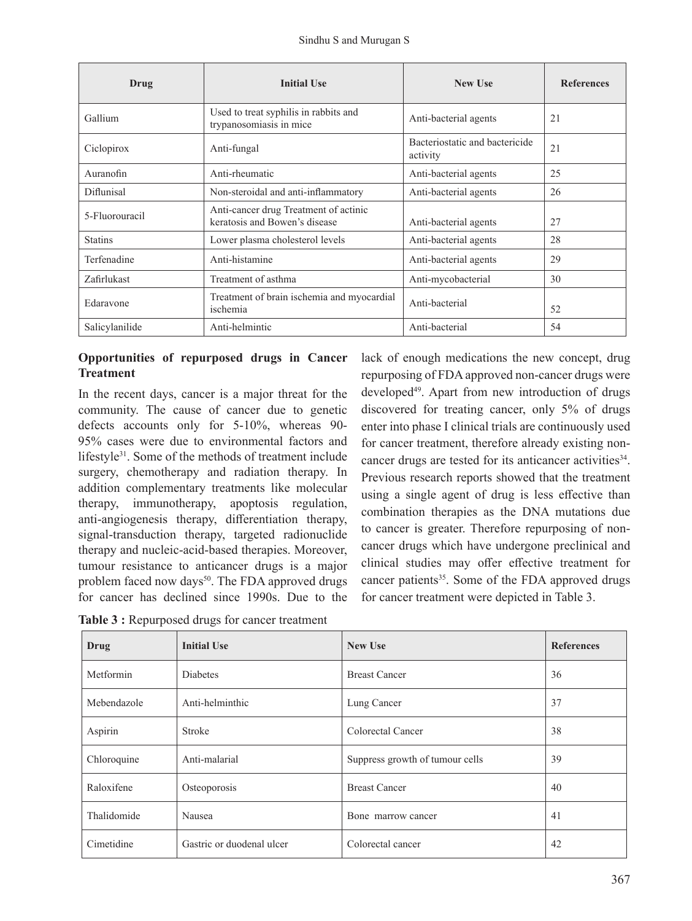| Drug           | <b>Initial Use</b>                                                     | <b>New Use</b>                             | <b>References</b> |
|----------------|------------------------------------------------------------------------|--------------------------------------------|-------------------|
| Gallium        | Used to treat syphilis in rabbits and<br>trypanosomiasis in mice       | Anti-bacterial agents                      | 21                |
| Ciclopirox     | Anti-fungal                                                            | Bacteriostatic and bactericide<br>activity | 21                |
| Auranofin      | Anti-rheumatic                                                         | Anti-bacterial agents                      | 25                |
| Diflunisal     | Non-steroidal and anti-inflammatory                                    | Anti-bacterial agents                      | 26                |
| 5-Fluorouracil | Anti-cancer drug Treatment of actinic<br>keratosis and Bowen's disease | Anti-bacterial agents                      | 27                |
| <b>Statins</b> | Lower plasma cholesterol levels                                        | Anti-bacterial agents                      | 28                |
| Terfenadine    | Anti-histamine                                                         | Anti-bacterial agents                      | 29                |
| Zafirlukast    | Treatment of asthma                                                    | Anti-mycobacterial                         | 30                |
| Edaravone      | Treatment of brain ischemia and myocardial<br>ischemia                 | Anti-bacterial                             | 52                |
| Salicylanilide | Anti-helmintic                                                         | Anti-bacterial                             | 54                |

# **Opportunities of repurposed drugs in Cancer Treatment**

In the recent days, cancer is a major threat for the community. The cause of cancer due to genetic defects accounts only for 5-10%, whereas 90- 95% cases were due to environmental factors and lifestyle<sup>31</sup>. Some of the methods of treatment include surgery, chemotherapy and radiation therapy. In addition complementary treatments like molecular therapy, immunotherapy, apoptosis regulation, anti-angiogenesis therapy, differentiation therapy, signal-transduction therapy, targeted radionuclide therapy and nucleic-acid-based therapies. Moreover, tumour resistance to anticancer drugs is a major problem faced now days<sup>50</sup>. The FDA approved drugs for cancer has declined since 1990s. Due to the

lack of enough medications the new concept, drug repurposing of FDAapproved non-cancer drugs were developed<sup>49</sup>. Apart from new introduction of drugs discovered for treating cancer, only 5% of drugs enter into phase I clinical trials are continuously used for cancer treatment, therefore already existing noncancer drugs are tested for its anticancer activities<sup>34</sup>. Previous research reports showed that the treatment using a single agent of drug is less effective than combination therapies as the DNA mutations due to cancer is greater. Therefore repurposing of noncancer drugs which have undergone preclinical and clinical studies may offer effective treatment for cancer patients<sup>35</sup>. Some of the FDA approved drugs for cancer treatment were depicted in Table 3.

| Drug        | <b>Initial Use</b>        | <b>New Use</b>                  | <b>References</b> |
|-------------|---------------------------|---------------------------------|-------------------|
| Metformin   | <b>Diabetes</b>           | <b>Breast Cancer</b>            | 36                |
| Mebendazole | Anti-helminthic           | Lung Cancer                     | 37                |
| Aspirin     | <b>Stroke</b>             | Colorectal Cancer               | 38                |
| Chloroquine | Anti-malarial             | Suppress growth of tumour cells | 39                |
| Raloxifene  | Osteoporosis              | <b>Breast Cancer</b>            | 40                |
| Thalidomide | Nausea                    | Bone marrow cancer              | 41                |
| Cimetidine  | Gastric or duodenal ulcer | Colorectal cancer               | 42                |

**Table 3 :** Repurposed drugs for cancer treatment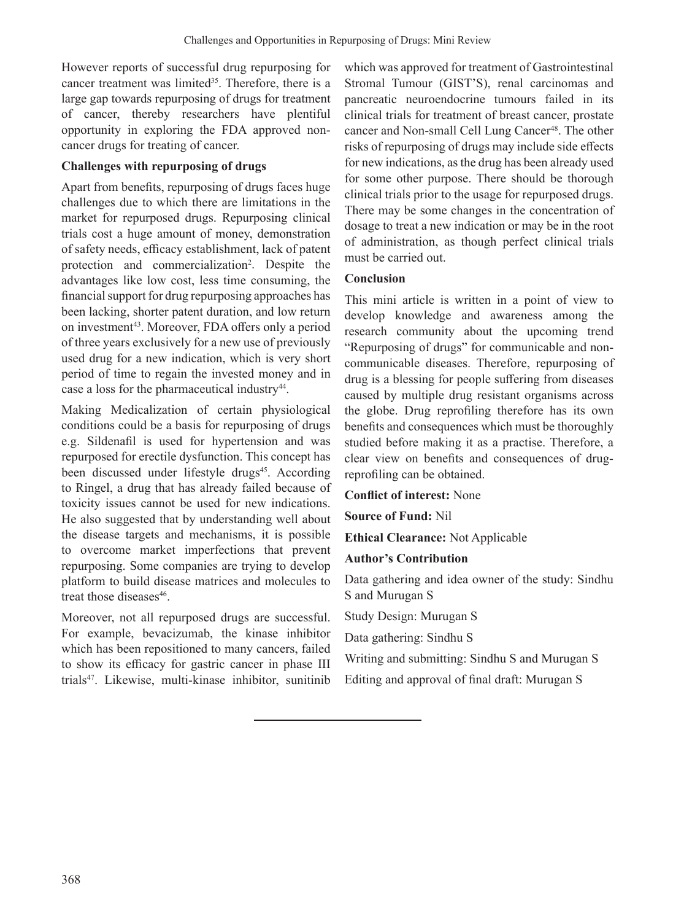However reports of successful drug repurposing for cancer treatment was limited<sup>35</sup>. Therefore, there is a large gap towards repurposing of drugs for treatment of cancer, thereby researchers have plentiful opportunity in exploring the FDA approved noncancer drugs for treating of cancer.

# **Challenges with repurposing of drugs**

Apart from benefits, repurposing of drugs faces huge challenges due to which there are limitations in the market for repurposed drugs. Repurposing clinical trials cost a huge amount of money, demonstration of safety needs, efficacy establishment, lack of patent protection and commercialization<sup>2</sup>. Despite the advantages like low cost, less time consuming, the financial support for drug repurposing approaches has been lacking, shorter patent duration, and low return on investment<sup>43</sup>. Moreover, FDA offers only a period of three years exclusively for a new use of previously used drug for a new indication, which is very short period of time to regain the invested money and in case a loss for the pharmaceutical industry<sup>44</sup>.

Making Medicalization of certain physiological conditions could be a basis for repurposing of drugs e.g. Sildenafil is used for hypertension and was repurposed for erectile dysfunction. This concept has been discussed under lifestyle drugs<sup>45</sup>. According to Ringel, a drug that has already failed because of toxicity issues cannot be used for new indications. He also suggested that by understanding well about the disease targets and mechanisms, it is possible to overcome market imperfections that prevent repurposing. Some companies are trying to develop platform to build disease matrices and molecules to treat those diseases<sup>46</sup>.

Moreover, not all repurposed drugs are successful. For example, bevacizumab, the kinase inhibitor which has been repositioned to many cancers, failed to show its efficacy for gastric cancer in phase III trials47. Likewise, multi-kinase inhibitor, sunitinib

which was approved for treatment of Gastrointestinal Stromal Tumour (GIST'S), renal carcinomas and pancreatic neuroendocrine tumours failed in its clinical trials for treatment of breast cancer, prostate cancer and Non-small Cell Lung Cancer<sup>48</sup>. The other risks of repurposing of drugs may include side effects for new indications, asthe drug has been already used for some other purpose. There should be thorough clinical trials prior to the usage for repurposed drugs. There may be some changes in the concentration of dosage to treat a new indication or may be in the root of administration, as though perfect clinical trials must be carried out.

# **Conclusion**

This mini article is written in a point of view to develop knowledge and awareness among the research community about the upcoming trend "Repurposing of drugs" for communicable and noncommunicable diseases. Therefore, repurposing of drug is a blessing for people suffering from diseases caused by multiple drug resistant organisms across the globe. Drug reprofiling therefore has its own benefits and consequences which must be thoroughly studied before making it as a practise. Therefore, a clear view on benefits and consequences of drugreprofiling can be obtained.

## **Conflict of interest:** None

**Source of Fund:** Nil

**Ethical Clearance:** Not Applicable

## **Author's Contribution**

Data gathering and idea owner of the study: Sindhu S and Murugan S

Study Design: Murugan S

Data gathering: Sindhu S

Writing and submitting: Sindhu S and Murugan S

Editing and approval of final draft: Murugan S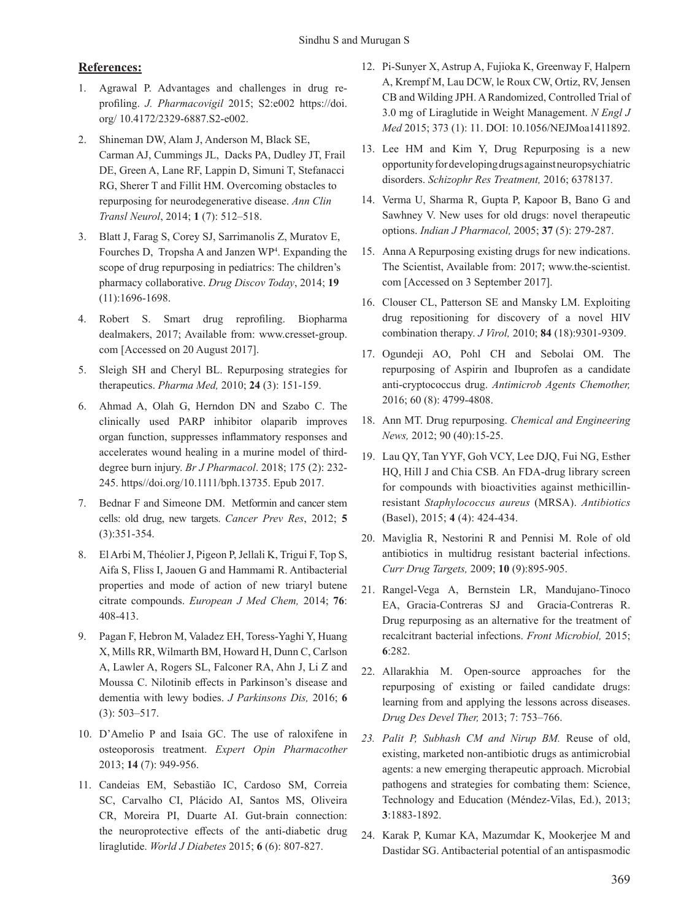### **References:**

- 1. Agrawal P. Advantages and challenges in drug reprofiling. *J. Pharmacovigil* 2015; S2:e002 https://doi. org/ 10.4172/2329-6887.S2-e002.
- 2. Shineman DW, Alam J, Anderson M, Black SE, Carman AJ, Cummings JL, Dacks PA, Dudley JT, Frail DE, Green A, Lane RF, Lappin D, Simuni T, Stefanacci RG, Sherer T and Fillit HM. Overcoming obstacles to repurposing for neurodegenerative disease. *Ann Clin Transl Neurol*, 2014; **1** (7): 512–518.
- 3. Blatt J, Farag S, Corey SJ, Sarrimanolis Z, Muratov E, Fourches D, Tropsha A and Janzen WP4 . Expanding the scope of drug repurposing in pediatrics: The children's pharmacy collaborative. *Drug Discov Today*, 2014; **19** (11):1696-1698.
- 4. Robert S. Smart drug reprofiling. Biopharma dealmakers, 2017; Available from: www.cresset-group. com [Accessed on 20 August 2017].
- 5. Sleigh SH and Cheryl BL. Repurposing strategies for therapeutics. *Pharma Med,* 2010; **24** (3): 151-159.
- 6. Ahmad A, Olah G, Herndon DN and Szabo C. The clinically used PARP inhibitor olaparib improves organ function, suppresses inflammatory responses and accelerates wound healing in a murine model of thirddegree burn injury. *Br J Pharmacol*. 2018; 175 (2): 232- 245. https//doi.org/10.1111/bph.13735. Epub 2017.
- 7. Bednar F and Simeone DM. Metformin and cancer stem cells: old drug, new targets. *Cancer Prev Res*, 2012; **5** (3):351-354.
- 8. El Arbi M, Théolier J, Pigeon P, Jellali K, Trigui F, Top S, Aifa S, Fliss I, Jaouen G and Hammami R. Antibacterial properties and mode of action of new triaryl butene citrate compounds. *European J Med Chem,* 2014; **76**: 408-413.
- 9. Pagan F, Hebron M, Valadez EH, Toress-Yaghi Y, Huang X, Mills RR, Wilmarth BM, Howard H, Dunn C, Carlson A, Lawler A, Rogers SL, Falconer RA, Ahn J, Li Z and Moussa C. Nilotinib effects in Parkinson's disease and dementia with lewy bodies. *J Parkinsons Dis,* 2016; **6** (3): 503–517.
- 10. D'Amelio P and Isaia GC. The use of raloxifene in osteoporosis treatment. *Expert Opin Pharmacother*  2013; **14** (7): 949-956.
- 11. Candeias EM, Sebastião IC, Cardoso SM, Correia SC, Carvalho CI, Plácido AI, Santos MS, Oliveira CR, Moreira PI, Duarte AI. Gut-brain connection: the neuroprotective effects of the anti-diabetic drug liraglutide. *World J Diabetes* 2015; **6** (6): 807-827.
- 12. Pi-Sunyer X, Astrup A, Fujioka K, Greenway F, Halpern A, Krempf M, Lau DCW, le Roux CW, Ortiz, RV, Jensen CB and Wilding JPH. A Randomized, Controlled Trial of 3.0 mg of Liraglutide in Weight Management. *N Engl J Med* 2015; 373 (1): 11. DOI: 10.1056/NEJMoa1411892.
- 13. Lee HM and Kim Y, Drug Repurposing is a new opportunityfordevelopingdrugsagainstneuropsychiatric disorders. *Schizophr Res Treatment,* 2016; 6378137.
- 14. Verma U, Sharma R, Gupta P, Kapoor B, Bano G and Sawhney V. New uses for old drugs: novel therapeutic options. *Indian J Pharmacol,* 2005; **37** (5): 279-287.
- 15. Anna A Repurposing existing drugs for new indications. The Scientist, Available from: 2017; www.the-scientist. com [Accessed on 3 September 2017].
- 16. Clouser CL, Patterson SE and Mansky LM. Exploiting drug repositioning for discovery of a novel HIV combination therapy. *J Virol,* 2010; **84** (18):9301-9309.
- 17. Ogundeji AO, Pohl CH and Sebolai OM. The repurposing of Aspirin and Ibuprofen as a candidate anti-cryptococcus drug. *Antimicrob Agents Chemother,* 2016; 60 (8): 4799-4808.
- 18. Ann MT. Drug repurposing. *Chemical and Engineering News,* 2012; 90 (40):15-25.
- 19. Lau QY, Tan YYF, Goh VCY, Lee DJQ, Fui NG, Esther HQ, Hill J and Chia CSB*.* An FDA-drug library screen for compounds with bioactivities against methicillinresistant *Staphylococcus aureus* (MRSA). *Antibiotics*  (Basel), 2015; **4** (4): 424-434.
- 20. Maviglia R, Nestorini R and Pennisi M. Role of old antibiotics in multidrug resistant bacterial infections. *Curr Drug Targets,* 2009; **10** (9):895-905.
- 21. Rangel-Vega A, Bernstein LR, Mandujano-Tinoco EA, Gracia-Contreras SJ and Gracia-Contreras R. Drug repurposing as an alternative for the treatment of recalcitrant bacterial infections. *Front Microbiol,* 2015; **6**:282.
- 22. Allarakhia M. Open-source approaches for the repurposing of existing or failed candidate drugs: learning from and applying the lessons across diseases. *Drug Des Devel Ther,* 2013; 7: 753–766.
- *23. Palit P, Subhash CM and Nirup BM.* Reuse of old, existing, marketed non-antibiotic drugs as antimicrobial agents: a new emerging therapeutic approach. Microbial pathogens and strategies for combating them: Science, Technology and Education (Méndez-Vilas, Ed.), 2013; **3**:1883-1892.
- 24. Karak P, Kumar KA, Mazumdar K, Mookerjee M and Dastidar SG. Antibacterial potential of an antispasmodic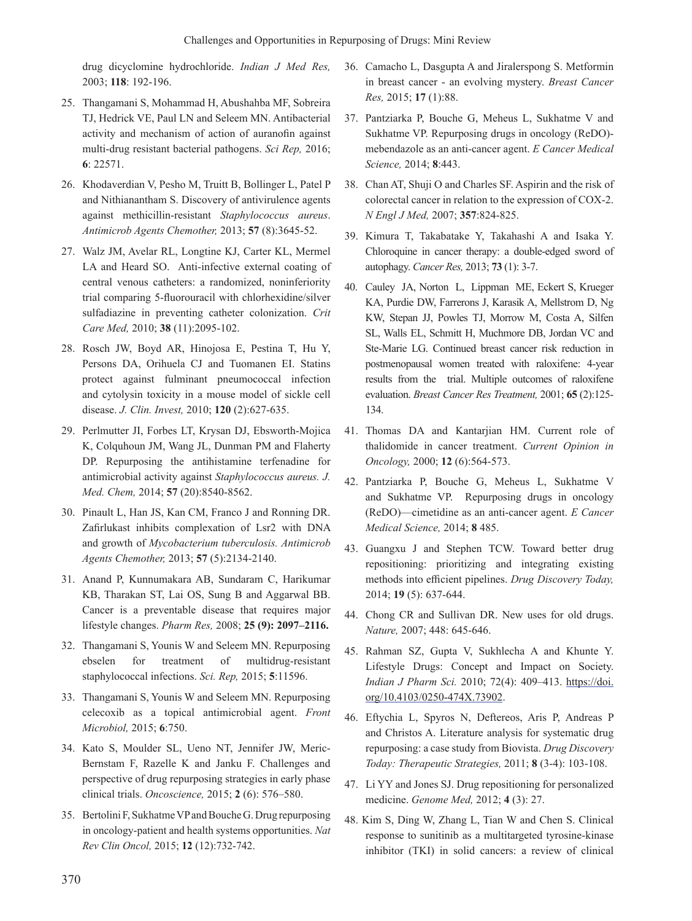drug dicyclomine hydrochloride. *Indian J Med Res,*  2003; **118**: 192-196.

- 25. Thangamani S, Mohammad H, Abushahba MF, Sobreira TJ, Hedrick VE, Paul LN and Seleem MN. Antibacterial activity and mechanism of action of auranofin against multi-drug resistant bacterial pathogens. *Sci Rep,* 2016; **6**: 22571.
- 26. Khodaverdian V, Pesho M, Truitt B, Bollinger L, Patel P and Nithianantham S. Discovery of antivirulence agents against methicillin-resistant *Staphylococcus aureus*. *Antimicrob Agents Chemother,* 2013; **57** (8):3645-52.
- 27. Walz JM, Avelar RL, Longtine KJ, Carter KL, Mermel LA and Heard SO. Anti-infective external coating of central venous catheters: a randomized, noninferiority trial comparing 5-fluorouracil with chlorhexidine/silver sulfadiazine in preventing catheter colonization. *Crit Care Med,* 2010; **38** (11):2095-102.
- 28. Rosch JW, Boyd AR, Hinojosa E, Pestina T, Hu Y, Persons DA, Orihuela CJ and Tuomanen EI. Statins protect against fulminant pneumococcal infection and cytolysin toxicity in a mouse model of sickle cell disease. *J. Clin. Invest,* 2010; **120** (2):627-635.
- 29. Perlmutter JI, Forbes LT, Krysan DJ, Ebsworth-Mojica K, Colquhoun JM, Wang JL, Dunman PM and Flaherty DP. Repurposing the antihistamine terfenadine for antimicrobial activity against *Staphylococcus aureus. J. Med. Chem,* 2014; **57** (20):8540-8562.
- 30. Pinault L, Han JS, Kan CM, Franco J and Ronning DR. Zafirlukast inhibits complexation of Lsr2 with DNA and growth of *Mycobacterium tuberculosis. Antimicrob Agents Chemother,* 2013; **57** (5):2134-2140.
- 31. Anand P, Kunnumakara AB, Sundaram C, Harikumar KB, Tharakan ST, Lai OS, Sung B and Aggarwal BB. Cancer is a preventable disease that requires major lifestyle changes. *Pharm Res,* 2008; **25 (9): 2097–2116.**
- 32. Thangamani S, Younis W and Seleem MN. Repurposing ebselen for treatment of multidrug-resistant staphylococcal infections. *Sci. Rep,* 2015; **5**:11596.
- 33. Thangamani S, Younis W and Seleem MN. Repurposing celecoxib as a topical antimicrobial agent. *Front Microbiol,* 2015; **6**:750.
- 34. Kato S, Moulder SL, Ueno NT, Jennifer JW, Meric-Bernstam F, Razelle K and Janku F. Challenges and perspective of drug repurposing strategies in early phase clinical trials. *Oncoscience,* 2015; **2** (6): 576–580.
- 35. Bertolini F, Sukhatme VP and Bouche G. Drug repurposing in oncology-patient and health systems opportunities. *Nat Rev Clin Oncol,* 2015; **12** (12):732-742.
- 36. Camacho L, Dasgupta A and Jiralerspong S. Metformin in breast cancer - an evolving mystery. *Breast Cancer Res,* 2015; **17** (1):88.
- 37. Pantziarka P, Bouche G, Meheus L, Sukhatme V and Sukhatme VP. Repurposing drugs in oncology (ReDO) mebendazole as an anti-cancer agent. *E Cancer Medical Science,* 2014; **8**:443.
- 38. Chan AT, Shuji O and Charles SF. Aspirin and the risk of colorectal cancer in relation to the expression of COX-2. *N Engl J Med,* 2007; **357**:824-825.
- 39. Kimura T, Takabatake Y, Takahashi A and Isaka Y. Chloroquine in cancer therapy: a double-edged sword of autophagy. *Cancer Res,* 2013; **73** (1): 3-7.
- 40. Cauley JA, Norton L, Lippman ME, Eckert S, Krueger KA, Purdie DW, Farrerons J, Karasik A, Mellstrom D, Ng KW, Stepan JJ, Powles TJ, Morrow M, Costa A, Silfen SL, Walls EL, Schmitt H, Muchmore DB, Jordan VC and Ste-Marie LG. Continued breast cancer risk reduction in postmenopausal women treated with raloxifene: 4-year results from the trial. Multiple outcomes of raloxifene evaluation. *Breast Cancer Res Treatment,* 2001; **65** (2):125- 134.
- 41. Thomas DA and Kantarjian HM. Current role of thalidomide in cancer treatment. *Current Opinion in Oncology,* 2000; **12** (6):564-573.
- 42. Pantziarka P, Bouche G, Meheus L, Sukhatme V and Sukhatme VP. Repurposing drugs in oncology (ReDO)—cimetidine as an anti-cancer agent. *E Cancer Medical Science,* 2014; **8** 485.
- 43. Guangxu J and Stephen TCW. Toward better drug repositioning: prioritizing and integrating existing methods into efficient pipelines. *Drug Discovery Today,* 2014; **19** (5): 637-644.
- 44. Chong CR and Sullivan DR. New uses for old drugs. *Nature,* 2007; 448: 645-646.
- 45. Rahman SZ, Gupta V, Sukhlecha A and Khunte Y. Lifestyle Drugs: Concept and Impact on Society. *Indian J Pharm Sci.* 2010; 72(4): 409–413. https://doi. org/10.4103/0250-474X.73902.
- 46. Eftychia L, Spyros N, Deftereos, Aris P, Andreas P and Christos A. Literature analysis for systematic drug repurposing: a case study from Biovista. *Drug Discovery Today: Therapeutic Strategies,* 2011; **8** (3-4): 103-108.
- 47. Li YY and Jones SJ. Drug repositioning for personalized medicine. *Genome Med,* 2012; **4** (3): 27.
- 48. Kim S, Ding W, Zhang L, Tian W and Chen S. Clinical response to sunitinib as a multitargeted tyrosine-kinase inhibitor (TKI) in solid cancers: a review of clinical